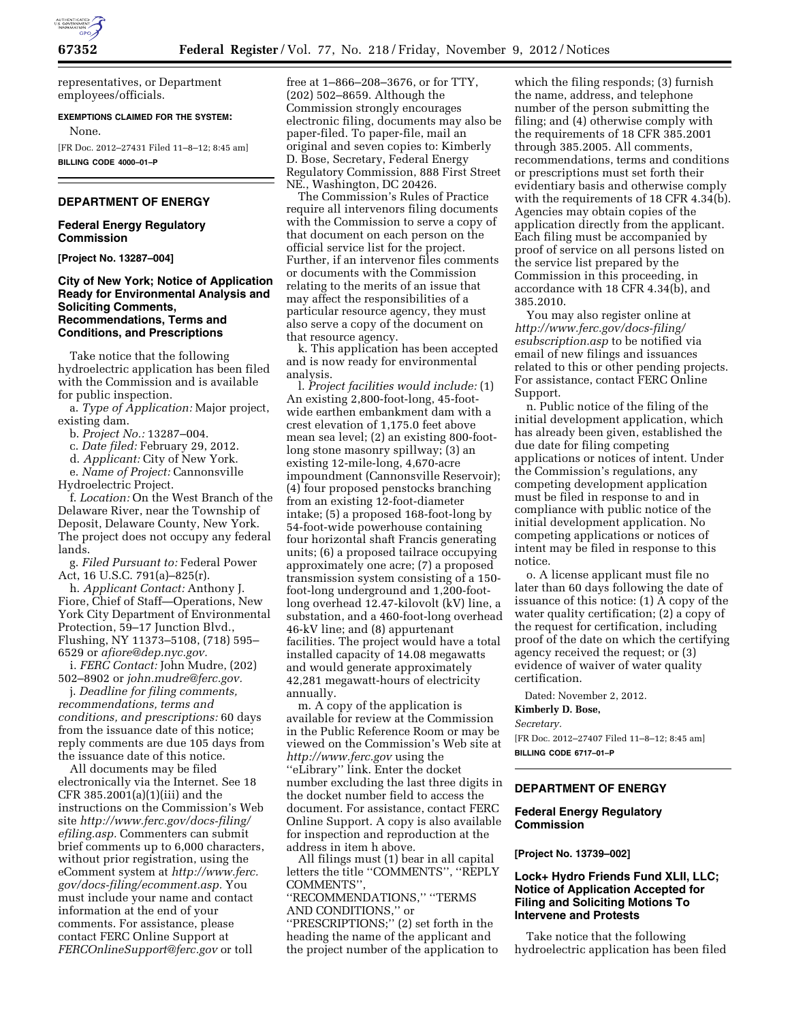

representatives, or Department employees/officials.

#### **EXEMPTIONS CLAIMED FOR THE SYSTEM:**

None.

[FR Doc. 2012–27431 Filed 11–8–12; 8:45 am] **BILLING CODE 4000–01–P** 

## **DEPARTMENT OF ENERGY**

# **Federal Energy Regulatory Commission**

**[Project No. 13287–004]** 

### **City of New York; Notice of Application Ready for Environmental Analysis and Soliciting Comments, Recommendations, Terms and Conditions, and Prescriptions**

Take notice that the following hydroelectric application has been filed with the Commission and is available for public inspection.

a. *Type of Application:* Major project, existing dam.

b. *Project No.:* 13287–004.

c. *Date filed:* February 29, 2012.

d. *Applicant:* City of New York.

e. *Name of Project:* Cannonsville Hydroelectric Project.

f. *Location:* On the West Branch of the Delaware River, near the Township of Deposit, Delaware County, New York. The project does not occupy any federal lands.

g. *Filed Pursuant to:* Federal Power Act, 16 U.S.C. 791(a)–825(r).

h. *Applicant Contact:* Anthony J. Fiore, Chief of Staff—Operations, New York City Department of Environmental Protection, 59–17 Junction Blvd., Flushing, NY 11373–5108, (718) 595– 6529 or *[afiore@dep.nyc.gov.](mailto:afiore@dep.nyc.gov)* 

i. *FERC Contact:* John Mudre, (202) 502–8902 or *[john.mudre@ferc.gov.](mailto:john.mudre@ferc.gov)* 

j. *Deadline for filing comments, recommendations, terms and conditions, and prescriptions:* 60 days from the issuance date of this notice; reply comments are due 105 days from the issuance date of this notice.

All documents may be filed electronically via the Internet. See 18 CFR 385.2001(a)(1)(iii) and the instructions on the Commission's Web site *[http://www.ferc.gov/docs-filing/](http://www.ferc.gov/docs-filing/efiling.asp) [efiling.asp.](http://www.ferc.gov/docs-filing/efiling.asp)* Commenters can submit brief comments up to 6,000 characters, without prior registration, using the eComment system at *[http://www.ferc.](http://www.ferc.gov/docs-filing/ecomment.asp) [gov/docs-filing/ecomment.asp.](http://www.ferc.gov/docs-filing/ecomment.asp)* You must include your name and contact information at the end of your comments. For assistance, please contact FERC Online Support at *[FERCOnlineSupport@ferc.gov](mailto:FERCOnlineSupport@ferc.gov)* or toll

free at 1–866–208–3676, or for TTY, (202) 502–8659. Although the Commission strongly encourages electronic filing, documents may also be paper-filed. To paper-file, mail an original and seven copies to: Kimberly D. Bose, Secretary, Federal Energy Regulatory Commission, 888 First Street NE., Washington, DC 20426.

The Commission's Rules of Practice require all intervenors filing documents with the Commission to serve a copy of that document on each person on the official service list for the project. Further, if an intervenor files comments or documents with the Commission relating to the merits of an issue that may affect the responsibilities of a particular resource agency, they must also serve a copy of the document on that resource agency.

k. This application has been accepted and is now ready for environmental analysis.

l. *Project facilities would include:* (1) An existing 2,800-foot-long, 45-footwide earthen embankment dam with a crest elevation of 1,175.0 feet above mean sea level; (2) an existing 800-footlong stone masonry spillway; (3) an existing 12-mile-long, 4,670-acre impoundment (Cannonsville Reservoir); (4) four proposed penstocks branching from an existing 12-foot-diameter intake; (5) a proposed 168-foot-long by 54-foot-wide powerhouse containing four horizontal shaft Francis generating units; (6) a proposed tailrace occupying approximately one acre; (7) a proposed transmission system consisting of a 150 foot-long underground and 1,200-footlong overhead 12.47-kilovolt (kV) line, a substation, and a 460-foot-long overhead 46-kV line; and (8) appurtenant facilities. The project would have a total installed capacity of 14.08 megawatts and would generate approximately 42,281 megawatt-hours of electricity annually.

m. A copy of the application is available for review at the Commission in the Public Reference Room or may be viewed on the Commission's Web site at *<http://www.ferc.gov>*using the ''eLibrary'' link. Enter the docket number excluding the last three digits in the docket number field to access the document. For assistance, contact FERC Online Support. A copy is also available for inspection and reproduction at the address in item h above.

All filings must (1) bear in all capital letters the title ''COMMENTS'', ''REPLY COMMENTS'',

''RECOMMENDATIONS,'' ''TERMS AND CONDITIONS,'' or ''PRESCRIPTIONS;'' (2) set forth in the heading the name of the applicant and the project number of the application to

which the filing responds; (3) furnish the name, address, and telephone number of the person submitting the filing; and (4) otherwise comply with the requirements of 18 CFR 385.2001 through 385.2005. All comments, recommendations, terms and conditions or prescriptions must set forth their evidentiary basis and otherwise comply with the requirements of 18 CFR 4.34(b). Agencies may obtain copies of the application directly from the applicant. Each filing must be accompanied by proof of service on all persons listed on the service list prepared by the Commission in this proceeding, in accordance with 18 CFR 4.34(b), and 385.2010.

You may also register online at *[http://www.ferc.gov/docs-filing/](http://www.ferc.gov/docs-filing/esubscription.asp) [esubscription.asp](http://www.ferc.gov/docs-filing/esubscription.asp)* to be notified via email of new filings and issuances related to this or other pending projects. For assistance, contact FERC Online Support.

n. Public notice of the filing of the initial development application, which has already been given, established the due date for filing competing applications or notices of intent. Under the Commission's regulations, any competing development application must be filed in response to and in compliance with public notice of the initial development application. No competing applications or notices of intent may be filed in response to this notice.

o. A license applicant must file no later than 60 days following the date of issuance of this notice: (1) A copy of the water quality certification; (2) a copy of the request for certification, including proof of the date on which the certifying agency received the request; or (3) evidence of waiver of water quality certification.

Dated: November 2, 2012.

# **Kimberly D. Bose,**

*Secretary.* 

[FR Doc. 2012–27407 Filed 11–8–12; 8:45 am] **BILLING CODE 6717–01–P** 

#### **DEPARTMENT OF ENERGY**

#### **Federal Energy Regulatory Commission**

**[Project No. 13739–002]** 

## **Lock+ Hydro Friends Fund XLII, LLC; Notice of Application Accepted for Filing and Soliciting Motions To Intervene and Protests**

Take notice that the following hydroelectric application has been filed